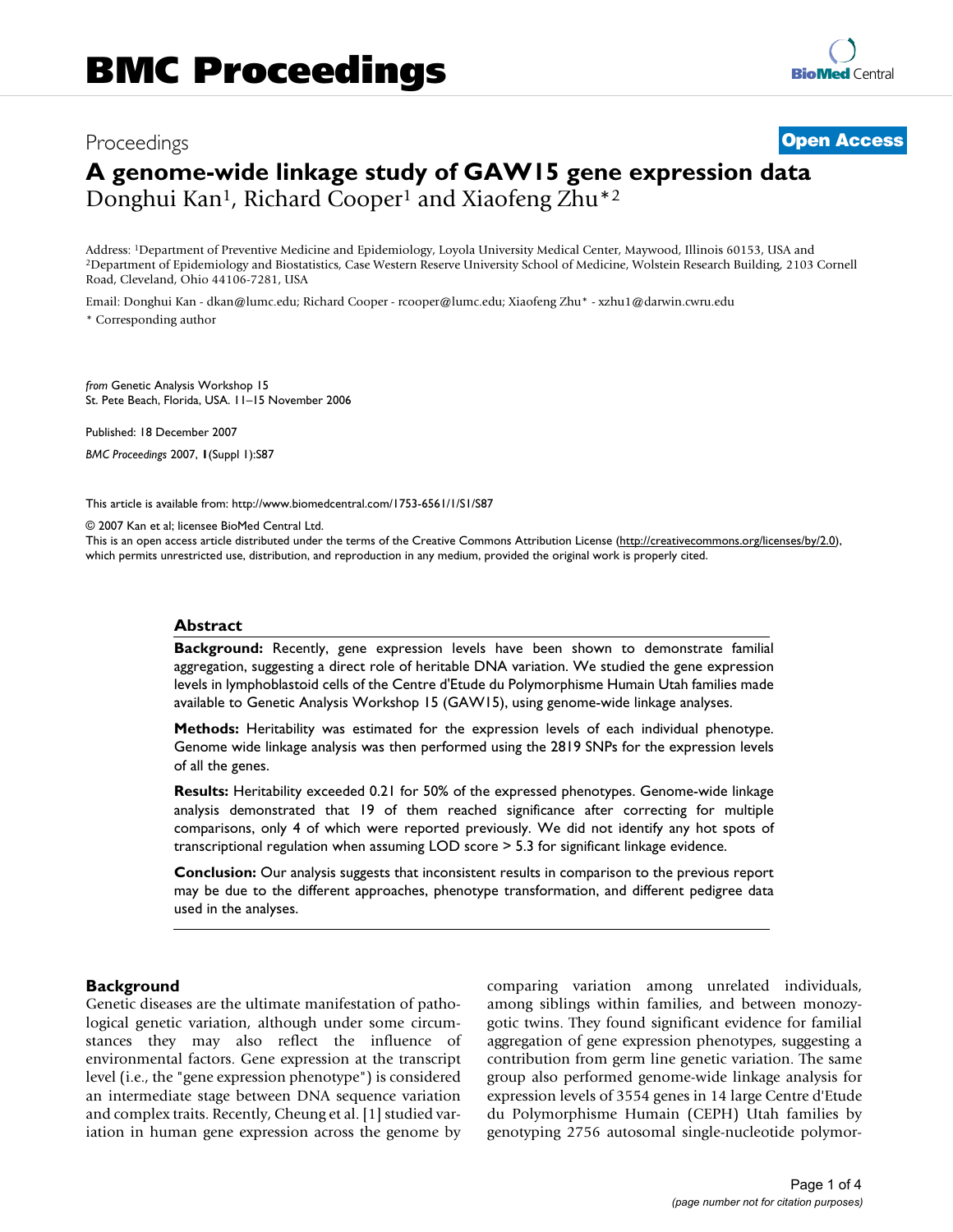# Proceedings **[Open Access](http://www.biomedcentral.com/info/about/charter/) A genome-wide linkage study of GAW15 gene expression data** Donghui Kan<sup>1</sup>, Richard Cooper<sup>1</sup> and Xiaofeng Zhu<sup>\*2</sup>

Address: <sup>1</sup>Department of Preventive Medicine and Epidemiology, Loyola University Medical Center, Maywood, Illinois 60153, USA and<br><sup>2</sup>Department of Epidemiology and Biostatistics, Case Western Reserve University School of Road, Cleveland, Ohio 44106-7281, USA

Email: Donghui Kan - dkan@lumc.edu; Richard Cooper - rcooper@lumc.edu; Xiaofeng Zhu\* - xzhu1@darwin.cwru.edu \* Corresponding author

*from* Genetic Analysis Workshop 15 St. Pete Beach, Florida, USA. 11–15 November 2006

Published: 18 December 2007

*BMC Proceedings* 2007, **1**(Suppl 1):S87

[This article is available from: http://www.biomedcentral.com/1753-6561/1/S1/S87](http://www.biomedcentral.com/1753-6561/1/S1/S87)

© 2007 Kan et al; licensee BioMed Central Ltd.

This is an open access article distributed under the terms of the Creative Commons Attribution License [\(http://creativecommons.org/licenses/by/2.0\)](http://creativecommons.org/licenses/by/2.0), which permits unrestricted use, distribution, and reproduction in any medium, provided the original work is properly cited.

#### **Abstract**

**Background:** Recently, gene expression levels have been shown to demonstrate familial aggregation, suggesting a direct role of heritable DNA variation. We studied the gene expression levels in lymphoblastoid cells of the Centre d'Etude du Polymorphisme Humain Utah families made available to Genetic Analysis Workshop 15 (GAW15), using genome-wide linkage analyses.

**Methods:** Heritability was estimated for the expression levels of each individual phenotype. Genome wide linkage analysis was then performed using the 2819 SNPs for the expression levels of all the genes.

**Results:** Heritability exceeded 0.21 for 50% of the expressed phenotypes. Genome-wide linkage analysis demonstrated that 19 of them reached significance after correcting for multiple comparisons, only 4 of which were reported previously. We did not identify any hot spots of transcriptional regulation when assuming LOD score > 5.3 for significant linkage evidence.

**Conclusion:** Our analysis suggests that inconsistent results in comparison to the previous report may be due to the different approaches, phenotype transformation, and different pedigree data used in the analyses.

# **Background**

Genetic diseases are the ultimate manifestation of pathological genetic variation, although under some circumstances they may also reflect the influence of environmental factors. Gene expression at the transcript level (i.e., the "gene expression phenotype") is considered an intermediate stage between DNA sequence variation and complex traits. Recently, Cheung et al. [1] studied variation in human gene expression across the genome by comparing variation among unrelated individuals, among siblings within families, and between monozygotic twins. They found significant evidence for familial aggregation of gene expression phenotypes, suggesting a contribution from germ line genetic variation. The same group also performed genome-wide linkage analysis for expression levels of 3554 genes in 14 large Centre d'Etude du Polymorphisme Humain (CEPH) Utah families by genotyping 2756 autosomal single-nucleotide polymor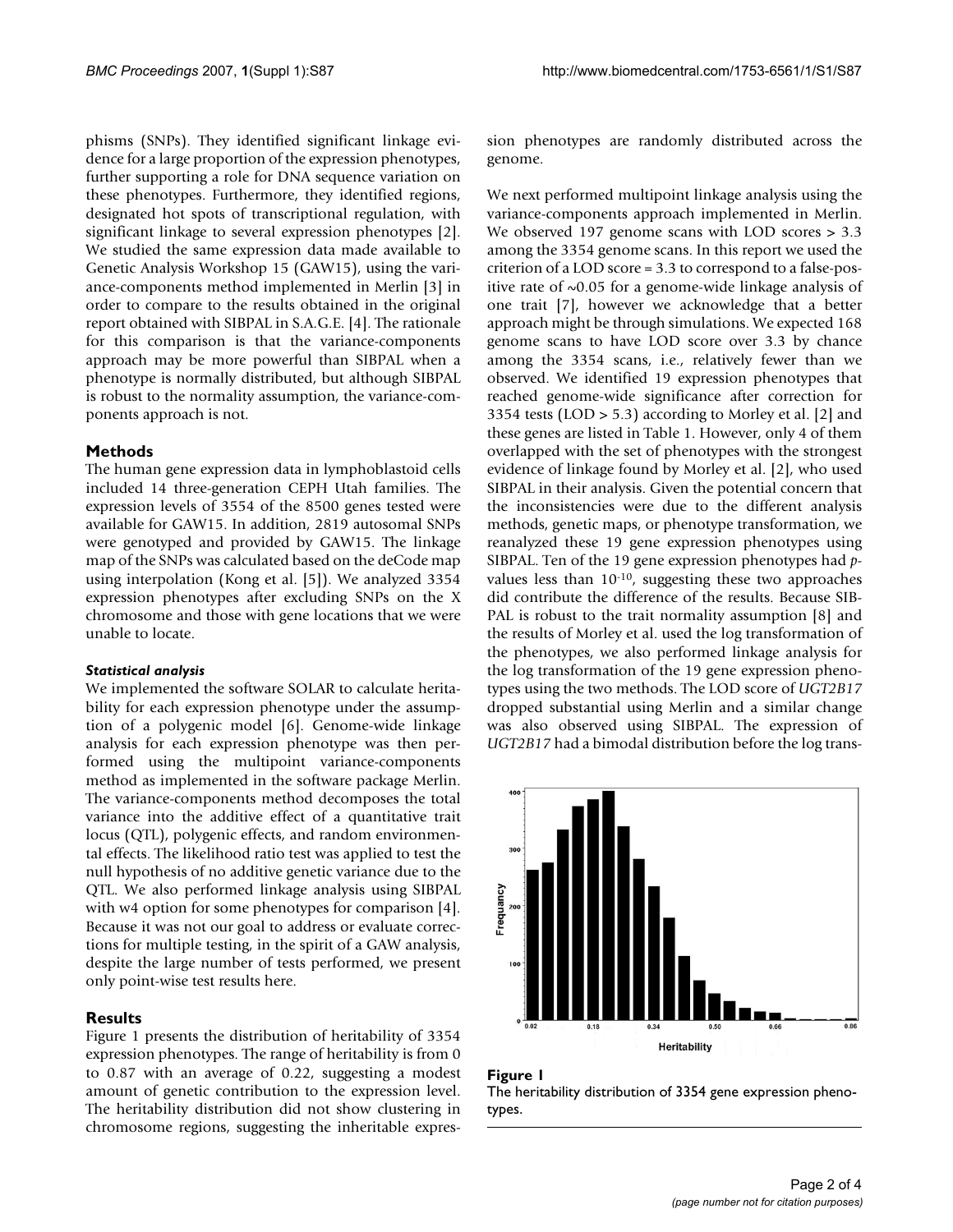phisms (SNPs). They identified significant linkage evidence for a large proportion of the expression phenotypes, further supporting a role for DNA sequence variation on these phenotypes. Furthermore, they identified regions, designated hot spots of transcriptional regulation, with significant linkage to several expression phenotypes [2]. We studied the same expression data made available to Genetic Analysis Workshop 15 (GAW15), using the variance-components method implemented in Merlin [3] in order to compare to the results obtained in the original report obtained with SIBPAL in S.A.G.E. [4]. The rationale for this comparison is that the variance-components approach may be more powerful than SIBPAL when a phenotype is normally distributed, but although SIBPAL is robust to the normality assumption, the variance-components approach is not.

# **Methods**

The human gene expression data in lymphoblastoid cells included 14 three-generation CEPH Utah families. The expression levels of 3554 of the 8500 genes tested were available for GAW15. In addition, 2819 autosomal SNPs were genotyped and provided by GAW15. The linkage map of the SNPs was calculated based on the deCode map using interpolation (Kong et al. [5]). We analyzed 3354 expression phenotypes after excluding SNPs on the X chromosome and those with gene locations that we were unable to locate.

## *Statistical analysis*

We implemented the software SOLAR to calculate heritability for each expression phenotype under the assumption of a polygenic model [6]. Genome-wide linkage analysis for each expression phenotype was then performed using the multipoint variance-components method as implemented in the software package Merlin. The variance-components method decomposes the total variance into the additive effect of a quantitative trait locus (QTL), polygenic effects, and random environmental effects. The likelihood ratio test was applied to test the null hypothesis of no additive genetic variance due to the QTL. We also performed linkage analysis using SIBPAL with w4 option for some phenotypes for comparison [4]. Because it was not our goal to address or evaluate corrections for multiple testing, in the spirit of a GAW analysis, despite the large number of tests performed, we present only point-wise test results here.

## **Results**

Figure 1 presents the distribution of heritability of 3354 expression phenotypes. The range of heritability is from 0 to 0.87 with an average of 0.22, suggesting a modest amount of genetic contribution to the expression level. The heritability distribution did not show clustering in chromosome regions, suggesting the inheritable expression phenotypes are randomly distributed across the genome.

We next performed multipoint linkage analysis using the variance-components approach implemented in Merlin. We observed 197 genome scans with LOD scores > 3.3 among the 3354 genome scans. In this report we used the criterion of a LOD score = 3.3 to correspond to a false-positive rate of  $\sim 0.05$  for a genome-wide linkage analysis of one trait [7], however we acknowledge that a better approach might be through simulations. We expected 168 genome scans to have LOD score over 3.3 by chance among the 3354 scans, i.e., relatively fewer than we observed. We identified 19 expression phenotypes that reached genome-wide significance after correction for 3354 tests (LOD > 5.3) according to Morley et al. [2] and these genes are listed in Table 1. However, only 4 of them overlapped with the set of phenotypes with the strongest evidence of linkage found by Morley et al. [2], who used SIBPAL in their analysis. Given the potential concern that the inconsistencies were due to the different analysis methods, genetic maps, or phenotype transformation, we reanalyzed these 19 gene expression phenotypes using SIBPAL. Ten of the 19 gene expression phenotypes had *p*values less than 10-10, suggesting these two approaches did contribute the difference of the results. Because SIB-PAL is robust to the trait normality assumption [8] and the results of Morley et al. used the log transformation of the phenotypes, we also performed linkage analysis for the log transformation of the 19 gene expression phenotypes using the two methods. The LOD score of *UGT2B17* dropped substantial using Merlin and a similar change was also observed using SIBPAL. The expression of *UGT2B17* had a bimodal distribution before the log trans-





The heritability distribution of 3354 gene expression phenotypes.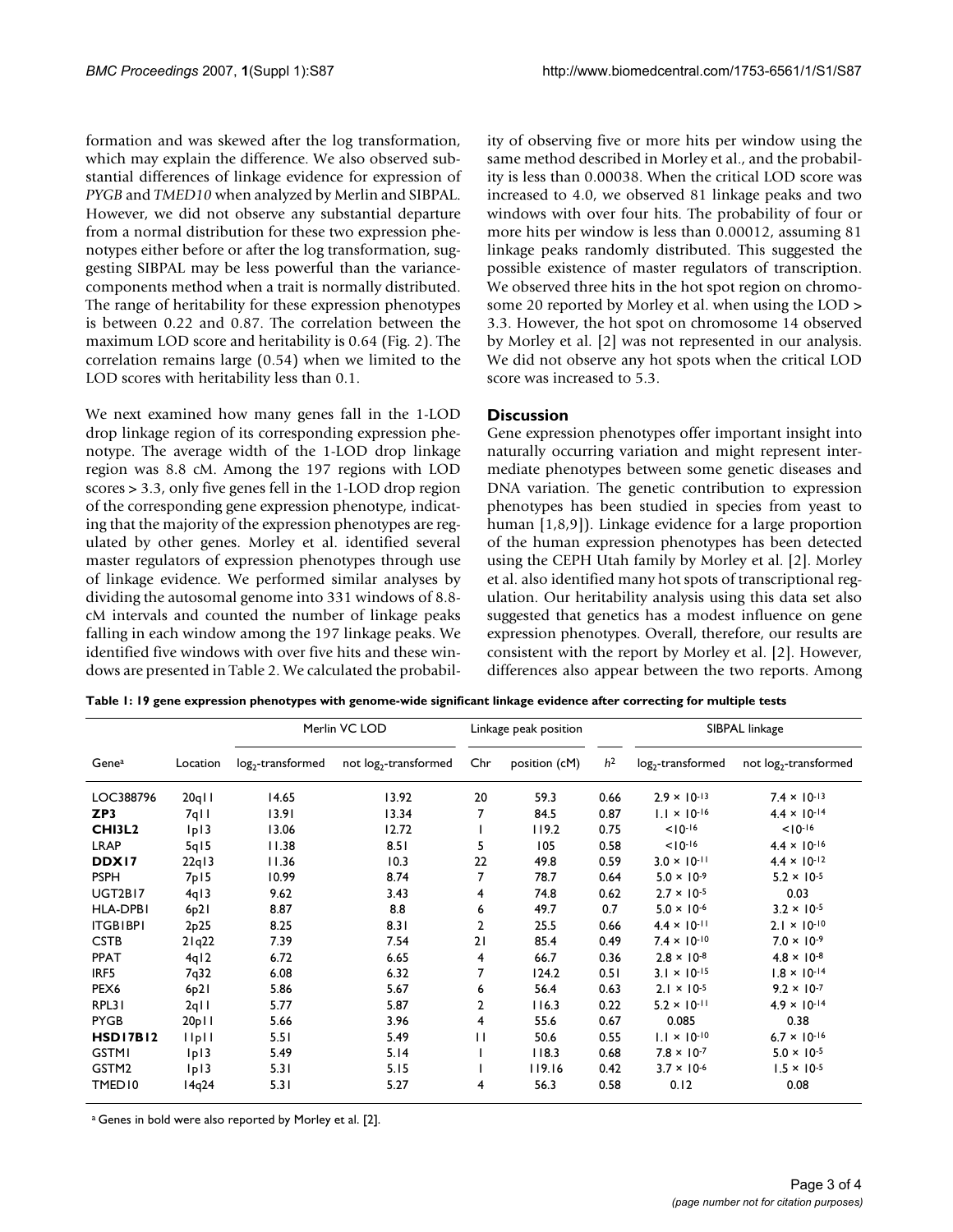formation and was skewed after the log transformation, which may explain the difference. We also observed substantial differences of linkage evidence for expression of *PYGB* and *TMED10* when analyzed by Merlin and SIBPAL. However, we did not observe any substantial departure from a normal distribution for these two expression phenotypes either before or after the log transformation, suggesting SIBPAL may be less powerful than the variancecomponents method when a trait is normally distributed. The range of heritability for these expression phenotypes is between 0.22 and 0.87. The correlation between the maximum LOD score and heritability is 0.64 (Fig. 2). The correlation remains large (0.54) when we limited to the LOD scores with heritability less than 0.1.

We next examined how many genes fall in the 1-LOD drop linkage region of its corresponding expression phenotype. The average width of the 1-LOD drop linkage region was 8.8 cM. Among the 197 regions with LOD scores > 3.3, only five genes fell in the 1-LOD drop region of the corresponding gene expression phenotype, indicating that the majority of the expression phenotypes are regulated by other genes. Morley et al. identified several master regulators of expression phenotypes through use of linkage evidence. We performed similar analyses by dividing the autosomal genome into 331 windows of 8.8 cM intervals and counted the number of linkage peaks falling in each window among the 197 linkage peaks. We identified five windows with over five hits and these windows are presented in Table 2. We calculated the probability of observing five or more hits per window using the same method described in Morley et al., and the probability is less than 0.00038. When the critical LOD score was increased to 4.0, we observed 81 linkage peaks and two windows with over four hits. The probability of four or more hits per window is less than 0.00012, assuming 81 linkage peaks randomly distributed. This suggested the possible existence of master regulators of transcription. We observed three hits in the hot spot region on chromosome 20 reported by Morley et al. when using the LOD > 3.3. However, the hot spot on chromosome 14 observed by Morley et al. [2] was not represented in our analysis. We did not observe any hot spots when the critical LOD score was increased to 5.3.

# **Discussion**

Gene expression phenotypes offer important insight into naturally occurring variation and might represent intermediate phenotypes between some genetic diseases and DNA variation. The genetic contribution to expression phenotypes has been studied in species from yeast to human [1,8,9]). Linkage evidence for a large proportion of the human expression phenotypes has been detected using the CEPH Utah family by Morley et al. [2]. Morley et al. also identified many hot spots of transcriptional regulation. Our heritability analysis using this data set also suggested that genetics has a modest influence on gene expression phenotypes. Overall, therefore, our results are consistent with the report by Morley et al. [2]. However, differences also appear between the two reports. Among

**Table 1: 19 gene expression phenotypes with genome-wide significant linkage evidence after correcting for multiple tests**

|                    |                               | Merlin VC LOD       |                                   | Linkage peak position |               |                |                       | SIBPAL linkage                    |
|--------------------|-------------------------------|---------------------|-----------------------------------|-----------------------|---------------|----------------|-----------------------|-----------------------------------|
| Genea              | Location                      | $log2$ -transformed | not log <sub>2</sub> -transformed | Chr                   | position (cM) | h <sup>2</sup> | $log2$ -transformed   | not log <sub>2</sub> -transformed |
| LOC388796          | $20q$                         | 14.65               | 13.92                             | 20                    | 59.3          | 0.66           | $2.9 \times 10^{-13}$ | $7.4 \times 10^{-13}$             |
| ZP3                | $7q$                          | 13.91               | 13.34                             | 7                     | 84.5          | 0.87           | $1.1 \times 10^{-16}$ | $4.4 \times 10^{-14}$             |
| <b>CHI3L2</b>      | 1p13                          | 13.06               | 12.72                             |                       | 119.2         | 0.75           | $10^{-16}$            | $10^{-16}$                        |
| <b>LRAP</b>        | 5q15                          | 11.38               | 8.51                              | 5                     | 105           | 0.58           | $10^{-16}$            | $4.4 \times 10^{-16}$             |
| DDX17              | 22q13                         | 11.36               | 10.3                              | 22                    | 49.8          | 0.59           | $3.0 \times 10^{-11}$ | $4.4 \times 10^{-12}$             |
| <b>PSPH</b>        | 7p15                          | 10.99               | 8.74                              | 7                     | 78.7          | 0.64           | $5.0 \times 10^{-9}$  | $5.2 \times 10^{-5}$              |
| UGT2BI7            | 4q13                          | 9.62                | 3.43                              | 4                     | 74.8          | 0.62           | $2.7 \times 10^{-5}$  | 0.03                              |
| HLA-DPBI           | 6p21                          | 8.87                | 8.8                               | 6                     | 49.7          | 0.7            | $5.0 \times 10^{-6}$  | $3.2 \times 10^{-5}$              |
| <b>ITGBIBPI</b>    | 2p25                          | 8.25                | 8.31                              | 2                     | 25.5          | 0.66           | $4.4 \times 10^{-11}$ | $2.1 \times 10^{-10}$             |
| <b>CSTB</b>        | 21q22                         | 7.39                | 7.54                              | 21                    | 85.4          | 0.49           | $7.4 \times 10^{-10}$ | $7.0 \times 10^{-9}$              |
| <b>PPAT</b>        | 4q12                          | 6.72                | 6.65                              | 4                     | 66.7          | 0.36           | $2.8 \times 10^{-8}$  | $4.8 \times 10^{-8}$              |
| IRF5               | 7q32                          | 6.08                | 6.32                              | 7                     | 124.2         | 0.51           | $3.1 \times 10^{-15}$ | $1.8 \times 10^{-14}$             |
| PEX <sub>6</sub>   | 6p21                          | 5.86                | 5.67                              | 6                     | 56.4          | 0.63           | $2.1 \times 10^{-5}$  | $9.2 \times 10^{-7}$              |
| RPL31              | $2q$                          | 5.77                | 5.87                              | $\overline{2}$        | 116.3         | 0.22           | $5.2 \times 10^{-11}$ | $4.9 \times 10^{-14}$             |
| <b>PYGB</b>        | 20p11                         | 5.66                | 3.96                              | 4                     | 55.6          | 0.67           | 0.085                 | 0.38                              |
| <b>HSD17B12</b>    | $\vert \vert$ p $\vert \vert$ | 5.51                | 5.49                              | П                     | 50.6          | 0.55           | $1.1 \times 10^{-10}$ | $6.7 \times 10^{-16}$             |
| <b>GSTMI</b>       | p                             | 5.49                | 5.14                              |                       | 118.3         | 0.68           | $7.8 \times 10^{-7}$  | $5.0 \times 10^{-5}$              |
| GSTM2              | 1p13                          | 5.31                | 5.15                              |                       | 119.16        | 0.42           | $3.7 \times 10^{-6}$  | $1.5 \times 10^{-5}$              |
| TMED <sub>10</sub> | 14q24                         | 5.31                | 5.27                              | 4                     | 56.3          | 0.58           | 0.12                  | 0.08                              |

<sup>a</sup> Genes in bold were also reported by Morley et al. [2].